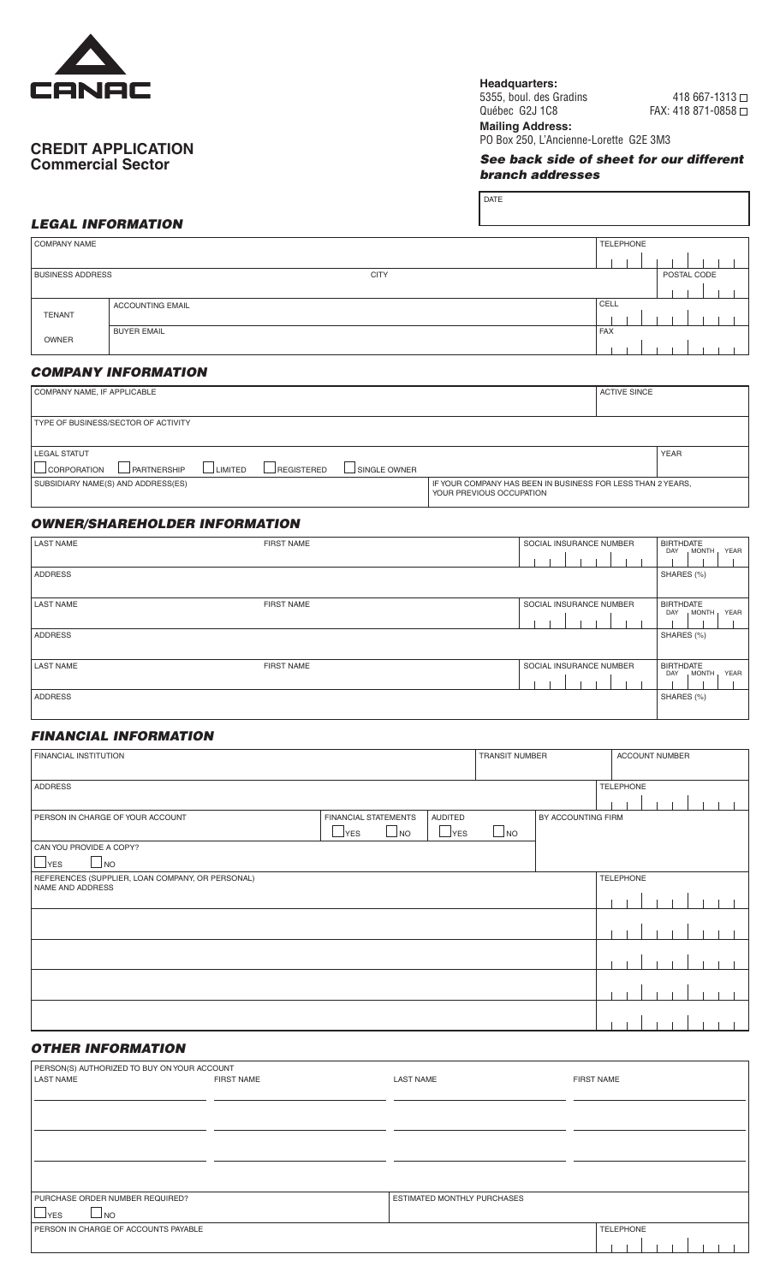

## **CREDIT APPLICATION Commercial Sector**

**Headquarters:**

DATE

5355, boul. des Gradins 418 667-1313 Québec G2J 1C8 FAX: 418 871-0858 □

**Mailing Address:** PO Box 250, L'Ancienne-Lorette G2E 3M3

*See back side of sheet for our different branch addresses*

## *LEGAL INFORMATION*

| COMPANY NAME            |                         | <b>TELEPHONE</b> |            |  |  |  |  |             |  |  |  |
|-------------------------|-------------------------|------------------|------------|--|--|--|--|-------------|--|--|--|
|                         |                         |                  |            |  |  |  |  |             |  |  |  |
| <b>BUSINESS ADDRESS</b> |                         | <b>CITY</b>      |            |  |  |  |  | POSTAL CODE |  |  |  |
|                         |                         |                  |            |  |  |  |  |             |  |  |  |
|                         | <b>ACCOUNTING EMAIL</b> |                  | CELL       |  |  |  |  |             |  |  |  |
| <b>TENANT</b>           |                         |                  |            |  |  |  |  |             |  |  |  |
|                         | <b>BUYER EMAIL</b>      |                  | <b>FAX</b> |  |  |  |  |             |  |  |  |
| OWNER                   |                         |                  |            |  |  |  |  |             |  |  |  |

### *COMPANY INFORMATION*

| COMPANY NAME, IF APPLICABLE                                                       |                                                                                         | <b>ACTIVE SINCE</b> |  |  |
|-----------------------------------------------------------------------------------|-----------------------------------------------------------------------------------------|---------------------|--|--|
|                                                                                   |                                                                                         |                     |  |  |
| TYPE OF BUSINESS/SECTOR OF ACTIVITY                                               |                                                                                         |                     |  |  |
|                                                                                   |                                                                                         |                     |  |  |
| <b>LEGAL STATUT</b>                                                               |                                                                                         | <b>YEAR</b>         |  |  |
| LIMITED<br>$\Box$ CORPORATION<br>PARTNERSHIP<br><b>REGISTERED</b><br>SINGLE OWNER |                                                                                         |                     |  |  |
| SUBSIDIARY NAME(S) AND ADDRESS(ES)                                                | IF YOUR COMPANY HAS BEEN IN BUSINESS FOR LESS THAN 2 YEARS.<br>YOUR PREVIOUS OCCUPATION |                     |  |  |

# *OWNER/SHAREHOLDER INFORMATION*

| <b>LAST NAME</b> | <b>FIRST NAME</b> | SOCIAL INSURANCE NUMBER | <b>BIRTHDATE</b><br>YEAR<br>MONTH,<br>DAY |
|------------------|-------------------|-------------------------|-------------------------------------------|
| <b>ADDRESS</b>   |                   |                         | SHARES (%)                                |
| <b>LAST NAME</b> | <b>FIRST NAME</b> | SOCIAL INSURANCE NUMBER | <b>BIRTHDATE</b><br>YEAR<br>MONTH,<br>DAY |
| <b>ADDRESS</b>   |                   |                         | SHARES (%)                                |
| <b>LAST NAME</b> | <b>FIRST NAME</b> | SOCIAL INSURANCE NUMBER | <b>BIRTHDATE</b><br>MONTH,<br>YEAR<br>DAY |
| <b>ADDRESS</b>   |                   |                         | SHARES (%)                                |

### *FINANCIAL INFORMATION*

| <b>FINANCIAL INSTITUTION</b>                                                           |                                                                         | <b>TRANSIT NUMBER</b>        |           | <b>ACCOUNT NUMBER</b> |                  |  |  |  |  |  |  |
|----------------------------------------------------------------------------------------|-------------------------------------------------------------------------|------------------------------|-----------|-----------------------|------------------|--|--|--|--|--|--|
| <b>ADDRESS</b>                                                                         |                                                                         |                              |           |                       | <b>TELEPHONE</b> |  |  |  |  |  |  |
| PERSON IN CHARGE OF YOUR ACCOUNT<br>CAN YOU PROVIDE A COPY?<br>$\Box$ YES<br>$\Box$ NO | <b>FINANCIAL STATEMENTS</b><br>$\mathbf{I}_{\mathsf{YES}}$<br>$\Box$ NO | <b>AUDITED</b><br>$\Box$ YES | $\Box$ NO | BY ACCOUNTING FIRM    |                  |  |  |  |  |  |  |
| REFERENCES (SUPPLIER, LOAN COMPANY, OR PERSONAL)<br>NAME AND ADDRESS                   |                                                                         |                              |           |                       | <b>TELEPHONE</b> |  |  |  |  |  |  |
|                                                                                        |                                                                         |                              |           |                       |                  |  |  |  |  |  |  |
|                                                                                        |                                                                         |                              |           |                       |                  |  |  |  |  |  |  |
|                                                                                        |                                                                         |                              |           |                       |                  |  |  |  |  |  |  |
|                                                                                        |                                                                         |                              |           |                       |                  |  |  |  |  |  |  |
|                                                                                        |                                                                         |                              |           |                       |                  |  |  |  |  |  |  |

### *OTHER INFORMATION*

| PERSON(S) AUTHORIZED TO BUY ON YOUR ACCOUNT |                   |                             |                   |
|---------------------------------------------|-------------------|-----------------------------|-------------------|
| <b>LAST NAME</b>                            | <b>FIRST NAME</b> | <b>LAST NAME</b>            | <b>FIRST NAME</b> |
|                                             |                   |                             |                   |
|                                             |                   |                             |                   |
|                                             |                   |                             |                   |
|                                             |                   |                             |                   |
|                                             |                   |                             |                   |
|                                             |                   |                             |                   |
|                                             |                   |                             |                   |
| PURCHASE ORDER NUMBER REQUIRED?             |                   | ESTIMATED MONTHLY PURCHASES |                   |
| $\Box$ NO<br>$\mathsf{YES}$                 |                   |                             |                   |
| PERSON IN CHARGE OF ACCOUNTS PAYABLE        |                   |                             | TELEPHONE         |
|                                             |                   |                             |                   |